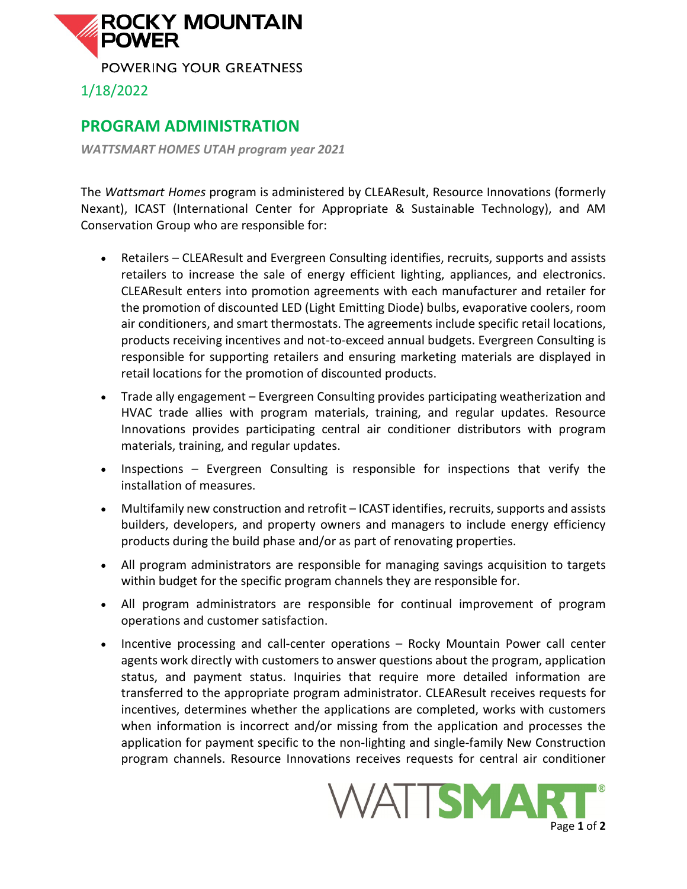

## **PROGRAM ADMINISTRATION**

*WATTSMART HOMES UTAH program year 2021*

The *Wattsmart Homes* program is administered by CLEAResult, Resource Innovations (formerly Nexant), ICAST (International Center for Appropriate & Sustainable Technology), and AM Conservation Group who are responsible for:

- Retailers CLEAResult and Evergreen Consulting identifies, recruits, supports and assists retailers to increase the sale of energy efficient lighting, appliances, and electronics. CLEAResult enters into promotion agreements with each manufacturer and retailer for the promotion of discounted LED (Light Emitting Diode) bulbs, evaporative coolers, room air conditioners, and smart thermostats. The agreements include specific retail locations, products receiving incentives and not-to-exceed annual budgets. Evergreen Consulting is responsible for supporting retailers and ensuring marketing materials are displayed in retail locations for the promotion of discounted products.
- Trade ally engagement Evergreen Consulting provides participating weatherization and HVAC trade allies with program materials, training, and regular updates. Resource Innovations provides participating central air conditioner distributors with program materials, training, and regular updates.
- Inspections Evergreen Consulting is responsible for inspections that verify the installation of measures.
- Multifamily new construction and retrofit ICAST identifies, recruits, supports and assists builders, developers, and property owners and managers to include energy efficiency products during the build phase and/or as part of renovating properties.
- All program administrators are responsible for managing savings acquisition to targets within budget for the specific program channels they are responsible for.
- All program administrators are responsible for continual improvement of program operations and customer satisfaction.
- Incentive processing and call-center operations Rocky Mountain Power call center agents work directly with customers to answer questions about the program, application status, and payment status. Inquiries that require more detailed information are transferred to the appropriate program administrator. CLEAResult receives requests for incentives, determines whether the applications are completed, works with customers when information is incorrect and/or missing from the application and processes the application for payment specific to the non-lighting and single-family New Construction program channels. Resource Innovations receives requests for central air conditioner